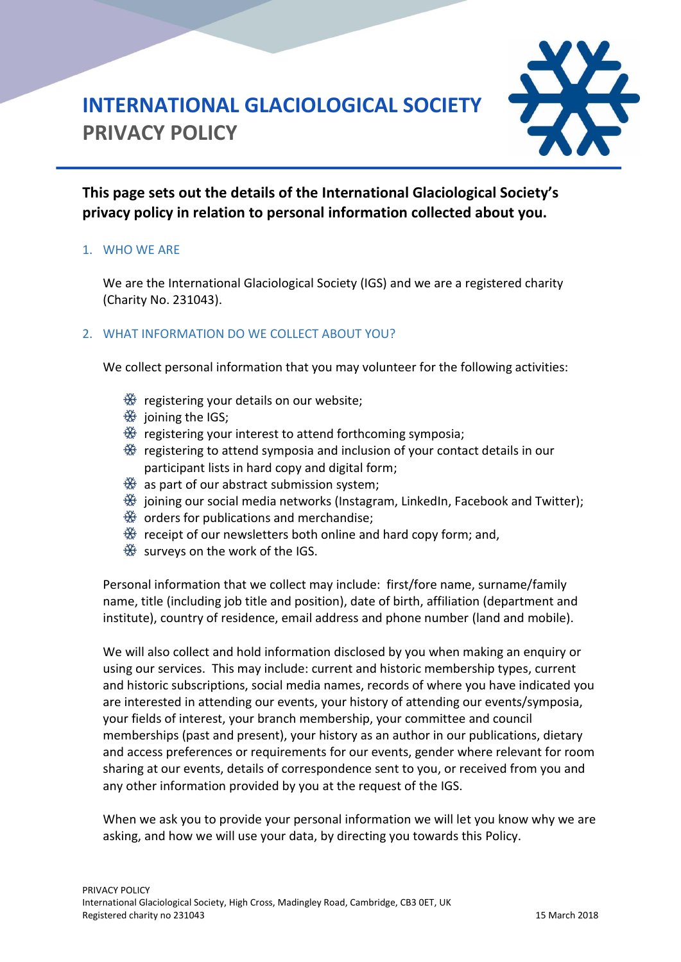# HH

# **INTERNATIONAL GLACIOLOGICAL SOCIETY PRIVACY POLICY**

**This page sets out the details of the International Glaciological Society's privacy policy in relation to personal information collected about you.**

### 1. WHO WE ARE

We are the International Glaciological Society (IGS) and we are a registered charity (Charity No. 231043).

### 2. WHAT INFORMATION DO WE COLLECT ABOUT YOU?

We collect personal information that you may volunteer for the following activities:

- $\frac{4}{32}$  registering your details on our website;
- $\frac{36}{100}$  joining the IGS;
- $\frac{366}{326}$  registering your interest to attend forthcoming symposia;
- $\frac{360}{320}$  registering to attend symposia and inclusion of your contact details in our participant lists in hard copy and digital form;
- $\frac{366}{366}$  as part of our abstract submission system;
- $\frac{366}{32}$  joining our social media networks (Instagram, LinkedIn, Facebook and Twitter);
- $\frac{4k}{3k}$  orders for publications and merchandise;
- $\frac{360}{320}$  receipt of our newsletters both online and hard copy form; and,
- $\frac{36}{100}$  surveys on the work of the IGS.

Personal information that we collect may include: first/fore name, surname/family name, title (including job title and position), date of birth, affiliation (department and institute), country of residence, email address and phone number (land and mobile).

We will also collect and hold information disclosed by you when making an enquiry or using our services. This may include: current and historic membership types, current and historic subscriptions, social media names, records of where you have indicated you are interested in attending our events, your history of attending our events/symposia, your fields of interest, your branch membership, your committee and council memberships (past and present), your history as an author in our publications, dietary and access preferences or requirements for our events, gender where relevant for room sharing at our events, details of correspondence sent to you, or received from you and any other information provided by you at the request of the IGS.

When we ask you to provide your personal information we will let you know why we are asking, and how we will use your data, by directing you towards this Policy.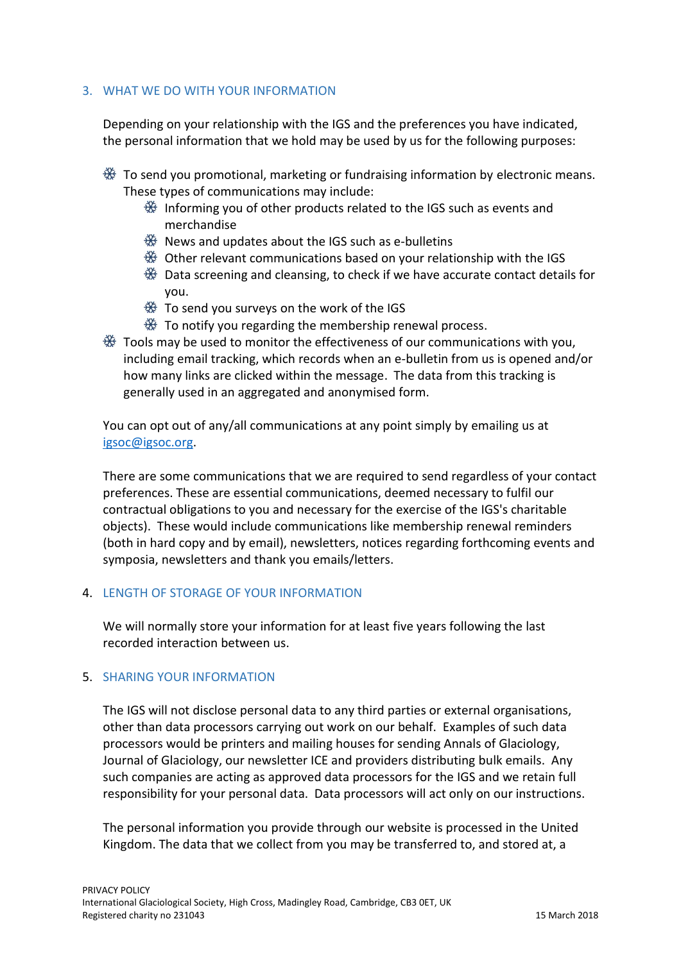### 3. WHAT WE DO WITH YOUR INFORMATION

Depending on your relationship with the IGS and the preferences you have indicated, the personal information that we hold may be used by us for the following purposes:

- $\frac{366}{32}$  To send you promotional, marketing or fundraising information by electronic means. These types of communications may include:
	- $\frac{360}{320}$  Informing you of other products related to the IGS such as events and merchandise
	- $\frac{466}{326}$  News and updates about the IGS such as e-bulletins
	- $\frac{46}{52}$  Other relevant communications based on your relationship with the IGS
	- $\Re$  Data screening and cleansing, to check if we have accurate contact details for you.
	- $\frac{1}{20}$  To send you surveys on the work of the IGS
	- $\frac{366}{320}$  To notify you regarding the membership renewal process.
- $\Re$  Tools may be used to monitor the effectiveness of our communications with you, including email tracking, which records when an e-bulletin from us is opened and/or how many links are clicked within the message. The data from this tracking is generally used in an aggregated and anonymised form.

You can opt out of any/all communications at any point simply by emailing us at [igsoc@igsoc.org.](mailto:igsoc@igsoc.org)

There are some communications that we are required to send regardless of your contact preferences. These are essential communications, deemed necessary to fulfil our contractual obligations to you and necessary for the exercise of the IGS's charitable objects). These would include communications like membership renewal reminders (both in hard copy and by email), newsletters, notices regarding forthcoming events and symposia, newsletters and thank you emails/letters.

### 4. LENGTH OF STORAGE OF YOUR INFORMATION

We will normally store your information for at least five years following the last recorded interaction between us.

### 5. SHARING YOUR INFORMATION

The IGS will not disclose personal data to any third parties or external organisations, other than data processors carrying out work on our behalf. Examples of such data processors would be printers and mailing houses for sending Annals of Glaciology, Journal of Glaciology, our newsletter ICE and providers distributing bulk emails. Any such companies are acting as approved data processors for the IGS and we retain full responsibility for your personal data. Data processors will act only on our instructions.

The personal information you provide through our website is processed in the United Kingdom. The data that we collect from you may be transferred to, and stored at, a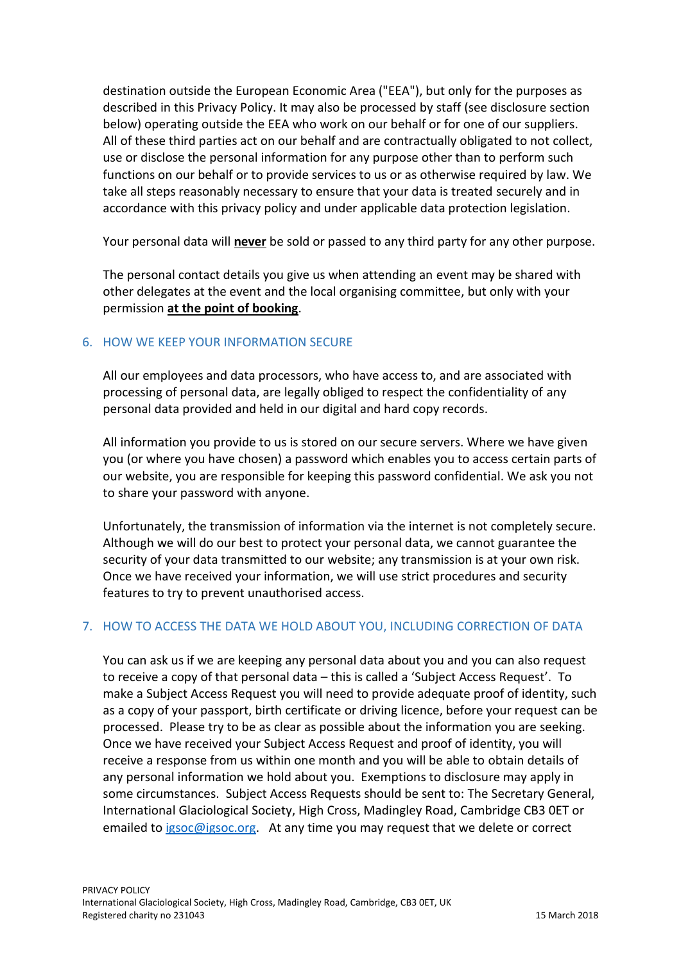destination outside the European Economic Area ("EEA"), but only for the purposes as described in this Privacy Policy. It may also be processed by staff (see disclosure section below) operating outside the EEA who work on our behalf or for one of our suppliers. All of these third parties act on our behalf and are contractually obligated to not collect, use or disclose the personal information for any purpose other than to perform such functions on our behalf or to provide services to us or as otherwise required by law. We take all steps reasonably necessary to ensure that your data is treated securely and in accordance with this privacy policy and under applicable data protection legislation.

Your personal data will **never** be sold or passed to any third party for any other purpose.

The personal contact details you give us when attending an event may be shared with other delegates at the event and the local organising committee, but only with your permission **at the point of booking**.

### 6. HOW WE KEEP YOUR INFORMATION SECURE

All our employees and data processors, who have access to, and are associated with processing of personal data, are legally obliged to respect the confidentiality of any personal data provided and held in our digital and hard copy records.

All information you provide to us is stored on our secure servers. Where we have given you (or where you have chosen) a password which enables you to access certain parts of our website, you are responsible for keeping this password confidential. We ask you not to share your password with anyone.

Unfortunately, the transmission of information via the internet is not completely secure. Although we will do our best to protect your personal data, we cannot guarantee the security of your data transmitted to our website; any transmission is at your own risk. Once we have received your information, we will use strict procedures and security features to try to prevent unauthorised access.

### 7. HOW TO ACCESS THE DATA WE HOLD ABOUT YOU, INCLUDING CORRECTION OF DATA

You can ask us if we are keeping any personal data about you and you can also request to receive a copy of that personal data – this is called a 'Subject Access Request'. To make a Subject Access Request you will need to provide adequate proof of identity, such as a copy of your passport, birth certificate or driving licence, before your request can be processed. Please try to be as clear as possible about the information you are seeking. Once we have received your Subject Access Request and proof of identity, you will receive a response from us within one month and you will be able to obtain details of any personal information we hold about you. Exemptions to disclosure may apply in some circumstances. Subject Access Requests should be sent to: The Secretary General, International Glaciological Society, High Cross, Madingley Road, Cambridge CB3 0ET or emailed to [igsoc@igsoc.org.](mailto:igsoc@igsoc.org) At any time you may request that we delete or correct